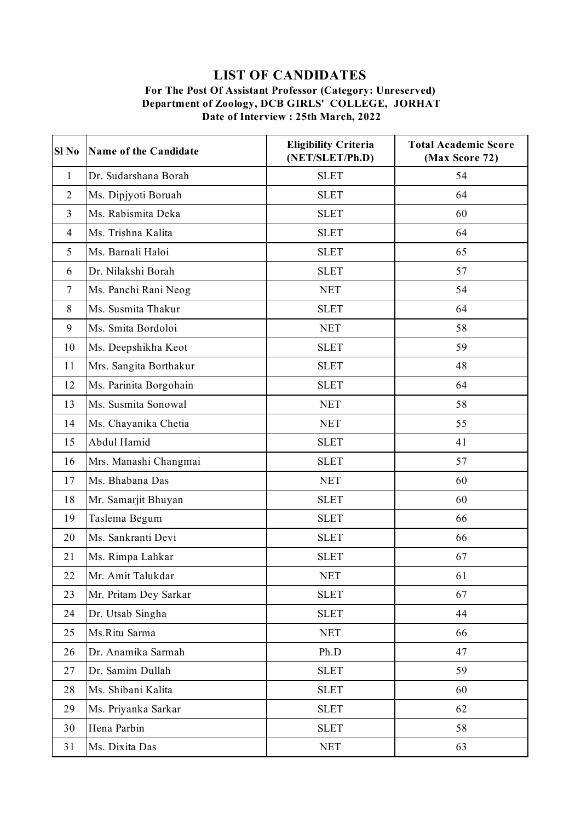## **LIST OF CANDIDATES**

## **For The Post Of Assistant Professor (Category: Unreserved) Department of Zoology, DCB GIRLS' COLLEGE, JORHAT Date of Interview : 25th March, 2022**

| Sl <sub>No</sub> | Name of the Candidate  | <b>Eligibility Criteria</b><br>(NET/SLET/Ph.D) | <b>Total Academic Score</b><br>(Max Score 72) |
|------------------|------------------------|------------------------------------------------|-----------------------------------------------|
| $\mathbf{1}$     | Dr. Sudarshana Borah   | <b>SLET</b>                                    | 54                                            |
| $\overline{2}$   | Ms. Dipjyoti Boruah    | <b>SLET</b>                                    | 64                                            |
| $\overline{3}$   | Ms. Rabismita Deka     | <b>SLET</b>                                    | 60                                            |
| $\overline{4}$   | Ms. Trishna Kalita     | <b>SLET</b>                                    | 64                                            |
| 5                | Ms. Barnali Haloi      | <b>SLET</b>                                    | 65                                            |
| 6                | Dr. Nilakshi Borah     | <b>SLET</b>                                    | 57                                            |
| $\overline{7}$   | Ms. Panchi Rani Neog   | <b>NET</b>                                     | 54                                            |
| $8\,$            | Ms. Susmita Thakur     | <b>SLET</b>                                    | 64                                            |
| 9                | Ms. Smita Bordoloi     | <b>NET</b>                                     | 58                                            |
| 10               | Ms. Deepshikha Keot    | <b>SLET</b>                                    | 59                                            |
| 11               | Mrs. Sangita Borthakur | <b>SLET</b>                                    | 48                                            |
| 12               | Ms. Parinita Borgohain | <b>SLET</b>                                    | 64                                            |
| 13               | Ms. Susmita Sonowal    | <b>NET</b>                                     | 58                                            |
| 14               | Ms. Chayanika Chetia   | <b>NET</b>                                     | 55                                            |
| 15               | Abdul Hamid            | <b>SLET</b>                                    | 41                                            |
| 16               | Mrs. Manashi Changmai  | <b>SLET</b>                                    | 57                                            |
| 17               | Ms. Bhabana Das        | <b>NET</b>                                     | 60                                            |
| 18               | Mr. Samarjit Bhuyan    | <b>SLET</b>                                    | 60                                            |
| 19               | Taslema Begum          | <b>SLET</b>                                    | 66                                            |
| 20               | Ms. Sankranti Devi     | <b>SLET</b>                                    | 66                                            |
| 21               | Ms. Rimpa Lahkar       | <b>SLET</b>                                    | 67                                            |
| 22               | Mr. Amit Talukdar      | <b>NET</b>                                     | 61                                            |
| 23               | Mr. Pritam Dey Sarkar  | <b>SLET</b>                                    | 67                                            |
| 24               | Dr. Utsab Singha       | <b>SLET</b>                                    | 44                                            |
| 25               | Ms.Ritu Sarma          | <b>NET</b>                                     | 66                                            |
| 26               | Dr. Anamika Sarmah     | Ph.D                                           | 47                                            |
| 27               | Dr. Samim Dullah       | <b>SLET</b>                                    | 59                                            |
| 28               | Ms. Shibani Kalita     | <b>SLET</b>                                    | 60                                            |
| 29               | Ms. Priyanka Sarkar    | <b>SLET</b>                                    | 62                                            |
| 30               | Hena Parbin            | <b>SLET</b>                                    | 58                                            |
| 31               | Ms. Dixita Das         | <b>NET</b>                                     | 63                                            |
|                  |                        |                                                |                                               |